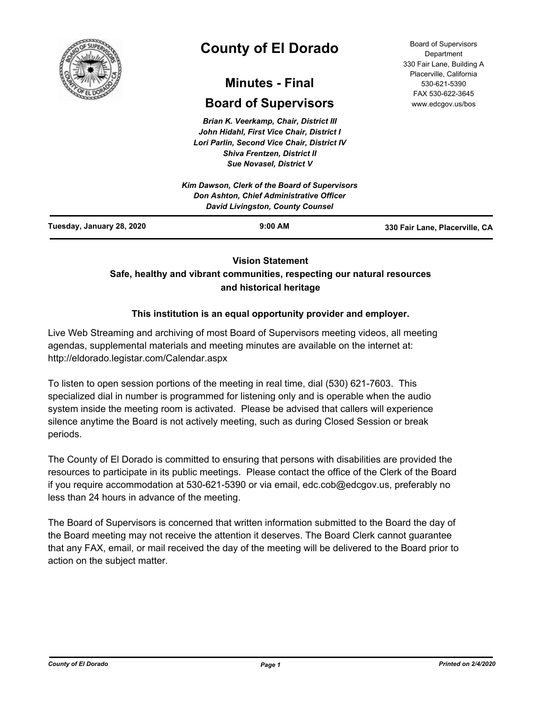

# **County of El Dorado**

## **Minutes - Final**

## **Board of Supervisors**

*Brian K. Veerkamp, Chair, District III John Hidahl, First Vice Chair, District I Lori Parlin, Second Vice Chair, District IV Shiva Frentzen, District II Sue Novasel, District V*

|                           | Kim Dawson, Clerk of the Board of Supervisors<br>Don Ashton, Chief Administrative Officer<br><b>David Livingston, County Counsel</b> |                                |
|---------------------------|--------------------------------------------------------------------------------------------------------------------------------------|--------------------------------|
| Tuesday, January 28, 2020 | $9:00$ AM                                                                                                                            | 330 Fair Lane, Placerville, CA |

## **Vision Statement**

## **Safe, healthy and vibrant communities, respecting our natural resources and historical heritage**

## **This institution is an equal opportunity provider and employer.**

Live Web Streaming and archiving of most Board of Supervisors meeting videos, all meeting agendas, supplemental materials and meeting minutes are available on the internet at: http://eldorado.legistar.com/Calendar.aspx

To listen to open session portions of the meeting in real time, dial (530) 621-7603. This specialized dial in number is programmed for listening only and is operable when the audio system inside the meeting room is activated. Please be advised that callers will experience silence anytime the Board is not actively meeting, such as during Closed Session or break periods.

The County of El Dorado is committed to ensuring that persons with disabilities are provided the resources to participate in its public meetings. Please contact the office of the Clerk of the Board if you require accommodation at 530-621-5390 or via email, edc.cob@edcgov.us, preferably no less than 24 hours in advance of the meeting.

The Board of Supervisors is concerned that written information submitted to the Board the day of the Board meeting may not receive the attention it deserves. The Board Clerk cannot guarantee that any FAX, email, or mail received the day of the meeting will be delivered to the Board prior to action on the subject matter.

Board of Supervisors Department 330 Fair Lane, Building A Placerville, California 530-621-5390 FAX 530-622-3645 www.edcgov.us/bos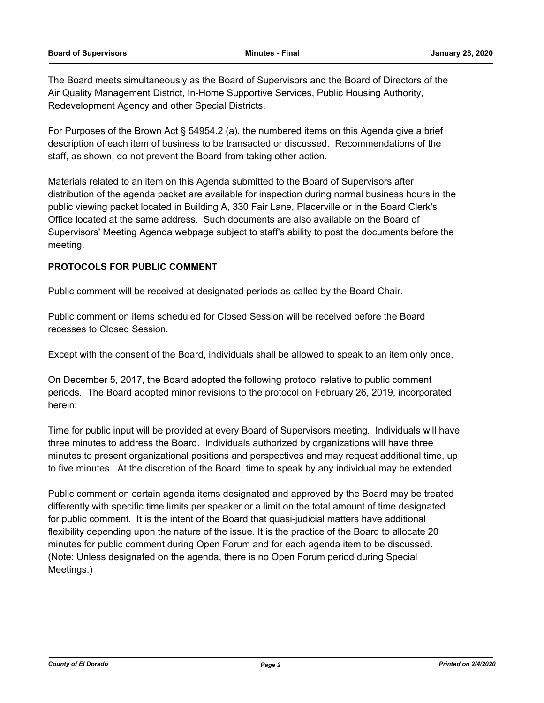The Board meets simultaneously as the Board of Supervisors and the Board of Directors of the Air Quality Management District, In-Home Supportive Services, Public Housing Authority, Redevelopment Agency and other Special Districts.

For Purposes of the Brown Act § 54954.2 (a), the numbered items on this Agenda give a brief description of each item of business to be transacted or discussed. Recommendations of the staff, as shown, do not prevent the Board from taking other action.

Materials related to an item on this Agenda submitted to the Board of Supervisors after distribution of the agenda packet are available for inspection during normal business hours in the public viewing packet located in Building A, 330 Fair Lane, Placerville or in the Board Clerk's Office located at the same address. Such documents are also available on the Board of Supervisors' Meeting Agenda webpage subject to staff's ability to post the documents before the meeting.

## **PROTOCOLS FOR PUBLIC COMMENT**

Public comment will be received at designated periods as called by the Board Chair.

Public comment on items scheduled for Closed Session will be received before the Board recesses to Closed Session.

Except with the consent of the Board, individuals shall be allowed to speak to an item only once.

On December 5, 2017, the Board adopted the following protocol relative to public comment periods. The Board adopted minor revisions to the protocol on February 26, 2019, incorporated herein:

Time for public input will be provided at every Board of Supervisors meeting. Individuals will have three minutes to address the Board. Individuals authorized by organizations will have three minutes to present organizational positions and perspectives and may request additional time, up to five minutes. At the discretion of the Board, time to speak by any individual may be extended.

Public comment on certain agenda items designated and approved by the Board may be treated differently with specific time limits per speaker or a limit on the total amount of time designated for public comment. It is the intent of the Board that quasi-judicial matters have additional flexibility depending upon the nature of the issue. It is the practice of the Board to allocate 20 minutes for public comment during Open Forum and for each agenda item to be discussed. (Note: Unless designated on the agenda, there is no Open Forum period during Special Meetings.)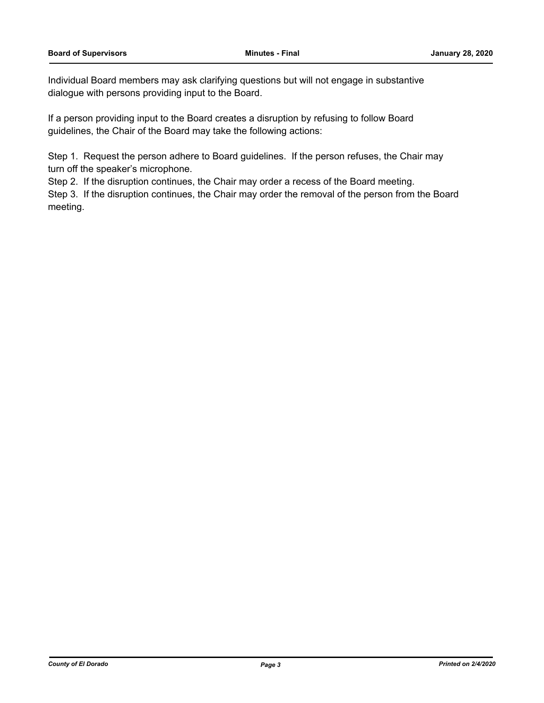Individual Board members may ask clarifying questions but will not engage in substantive dialogue with persons providing input to the Board.

If a person providing input to the Board creates a disruption by refusing to follow Board guidelines, the Chair of the Board may take the following actions:

Step 1. Request the person adhere to Board guidelines. If the person refuses, the Chair may turn off the speaker's microphone.

Step 2. If the disruption continues, the Chair may order a recess of the Board meeting.

Step 3. If the disruption continues, the Chair may order the removal of the person from the Board meeting.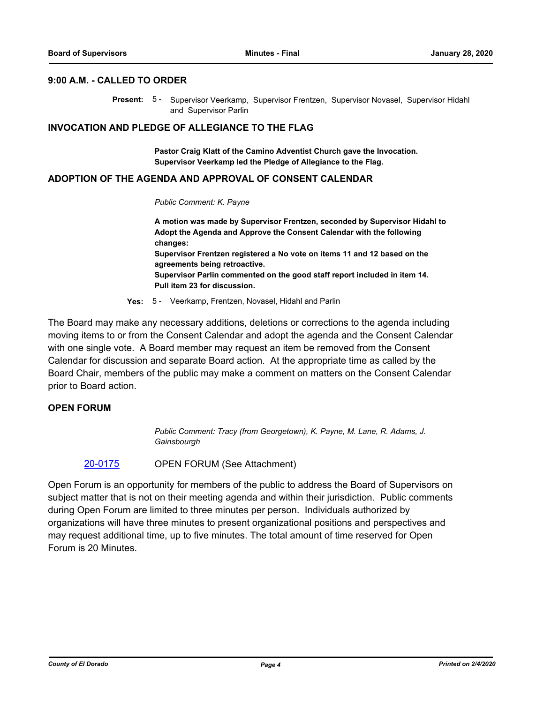#### **9:00 A.M. - CALLED TO ORDER**

Present: 5 - Supervisor Veerkamp, Supervisor Frentzen, Supervisor Novasel, Supervisor Hidahl and Supervisor Parlin

#### **INVOCATION AND PLEDGE OF ALLEGIANCE TO THE FLAG**

**Pastor Craig Klatt of the Camino Adventist Church gave the Invocation. Supervisor Veerkamp led the Pledge of Allegiance to the Flag.**

#### **ADOPTION OF THE AGENDA AND APPROVAL OF CONSENT CALENDAR**

#### *Public Comment: K. Payne*

**A motion was made by Supervisor Frentzen, seconded by Supervisor Hidahl to Adopt the Agenda and Approve the Consent Calendar with the following changes: Supervisor Frentzen registered a No vote on items 11 and 12 based on the agreements being retroactive. Supervisor Parlin commented on the good staff report included in item 14. Pull item 23 for discussion.**

#### **Yes:** 5 - Veerkamp, Frentzen, Novasel, Hidahl and Parlin

The Board may make any necessary additions, deletions or corrections to the agenda including moving items to or from the Consent Calendar and adopt the agenda and the Consent Calendar with one single vote. A Board member may request an item be removed from the Consent Calendar for discussion and separate Board action. At the appropriate time as called by the Board Chair, members of the public may make a comment on matters on the Consent Calendar prior to Board action.

#### **OPEN FORUM**

*Public Comment: Tracy (from Georgetown), K. Payne, M. Lane, R. Adams, J. Gainsbourgh*

## [20-0175](http://eldorado.legistar.com/gateway.aspx?m=l&id=/matter.aspx?key=27380) OPEN FORUM (See Attachment)

Open Forum is an opportunity for members of the public to address the Board of Supervisors on subject matter that is not on their meeting agenda and within their jurisdiction. Public comments during Open Forum are limited to three minutes per person. Individuals authorized by organizations will have three minutes to present organizational positions and perspectives and may request additional time, up to five minutes. The total amount of time reserved for Open Forum is 20 Minutes.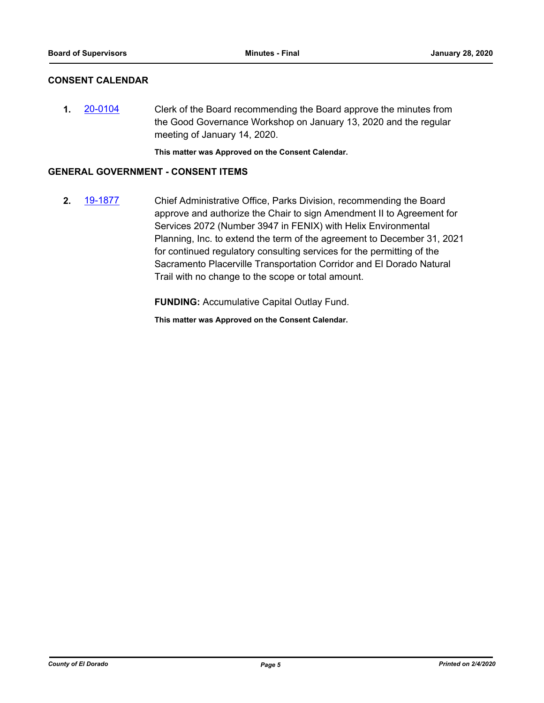## **CONSENT CALENDAR**

**1.** [20-0104](http://eldorado.legistar.com/gateway.aspx?m=l&id=/matter.aspx?key=27309) Clerk of the Board recommending the Board approve the minutes from the Good Governance Workshop on January 13, 2020 and the regular meeting of January 14, 2020.

**This matter was Approved on the Consent Calendar.**

#### **GENERAL GOVERNMENT - CONSENT ITEMS**

**2.** [19-1877](http://eldorado.legistar.com/gateway.aspx?m=l&id=/matter.aspx?key=27201) Chief Administrative Office, Parks Division, recommending the Board approve and authorize the Chair to sign Amendment II to Agreement for Services 2072 (Number 3947 in FENIX) with Helix Environmental Planning, Inc. to extend the term of the agreement to December 31, 2021 for continued regulatory consulting services for the permitting of the Sacramento Placerville Transportation Corridor and El Dorado Natural Trail with no change to the scope or total amount.

**FUNDING:** Accumulative Capital Outlay Fund.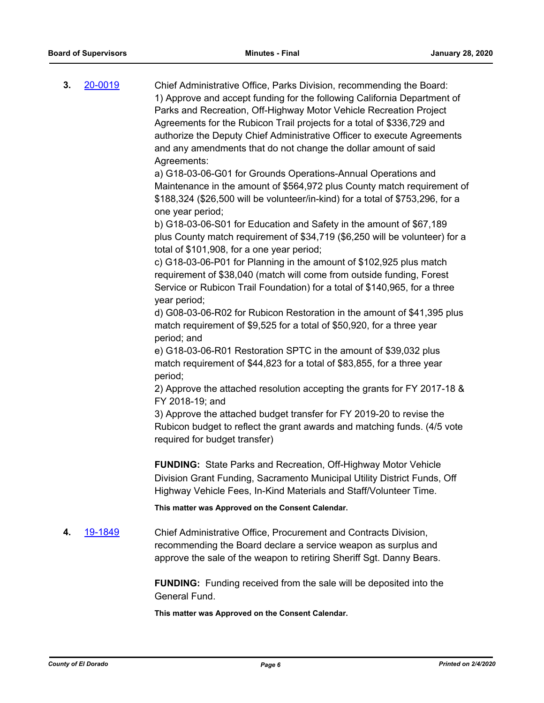**3.** [20-0019](http://eldorado.legistar.com/gateway.aspx?m=l&id=/matter.aspx?key=27223) Chief Administrative Office, Parks Division, recommending the Board: 1) Approve and accept funding for the following California Department of Parks and Recreation, Off-Highway Motor Vehicle Recreation Project Agreements for the Rubicon Trail projects for a total of \$336,729 and authorize the Deputy Chief Administrative Officer to execute Agreements and any amendments that do not change the dollar amount of said Agreements:

> a) G18-03-06-G01 for Grounds Operations-Annual Operations and Maintenance in the amount of \$564,972 plus County match requirement of \$188,324 (\$26,500 will be volunteer/in-kind) for a total of \$753,296, for a one year period;

b) G18-03-06-S01 for Education and Safety in the amount of \$67,189 plus County match requirement of \$34,719 (\$6,250 will be volunteer) for a total of \$101,908, for a one year period;

c) G18-03-06-P01 for Planning in the amount of \$102,925 plus match requirement of \$38,040 (match will come from outside funding, Forest Service or Rubicon Trail Foundation) for a total of \$140,965, for a three year period;

d) G08-03-06-R02 for Rubicon Restoration in the amount of \$41,395 plus match requirement of \$9,525 for a total of \$50,920, for a three year period; and

e) G18-03-06-R01 Restoration SPTC in the amount of \$39,032 plus match requirement of \$44,823 for a total of \$83,855, for a three year period;

2) Approve the attached resolution accepting the grants for FY 2017-18 & FY 2018-19; and

3) Approve the attached budget transfer for FY 2019-20 to revise the Rubicon budget to reflect the grant awards and matching funds. (4/5 vote required for budget transfer)

**FUNDING:** State Parks and Recreation, Off-Highway Motor Vehicle Division Grant Funding, Sacramento Municipal Utility District Funds, Off Highway Vehicle Fees, In-Kind Materials and Staff/Volunteer Time.

**This matter was Approved on the Consent Calendar.**

**4.** [19-1849](http://eldorado.legistar.com/gateway.aspx?m=l&id=/matter.aspx?key=27173) Chief Administrative Office, Procurement and Contracts Division, recommending the Board declare a service weapon as surplus and approve the sale of the weapon to retiring Sheriff Sgt. Danny Bears.

> **FUNDING:** Funding received from the sale will be deposited into the General Fund.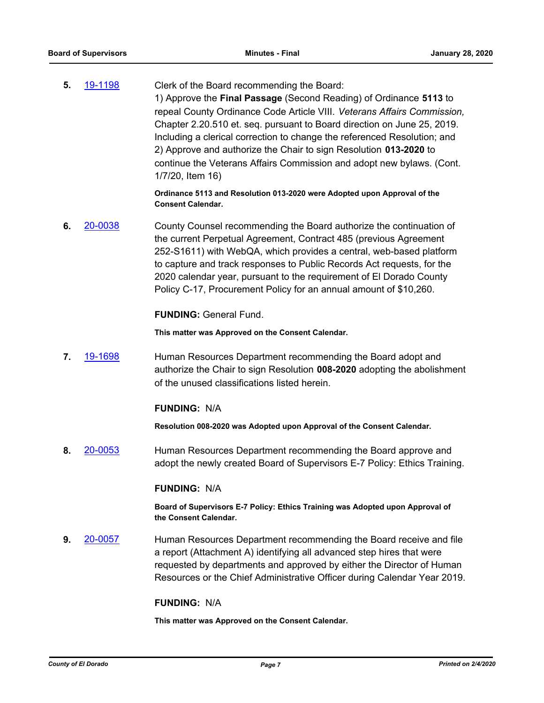**5.** [19-1198](http://eldorado.legistar.com/gateway.aspx?m=l&id=/matter.aspx?key=26521) Clerk of the Board recommending the Board: 1) Approve the **Final Passage** (Second Reading) of Ordinance **5113** to repeal County Ordinance Code Article VIII. *Veterans Affairs Commission,*  Chapter 2.20.510 et. seq. pursuant to Board direction on June 25, 2019. Including a clerical correction to change the referenced Resolution; and 2) Approve and authorize the Chair to sign Resolution **013-2020** to continue the Veterans Affairs Commission and adopt new bylaws. (Cont. 1/7/20, Item 16)

> **Ordinance 5113 and Resolution 013-2020 were Adopted upon Approval of the Consent Calendar.**

**6.** [20-0038](http://eldorado.legistar.com/gateway.aspx?m=l&id=/matter.aspx?key=27243) County Counsel recommending the Board authorize the continuation of the current Perpetual Agreement, Contract 485 (previous Agreement 252-S1611) with WebQA, which provides a central, web-based platform to capture and track responses to Public Records Act requests, for the 2020 calendar year, pursuant to the requirement of El Dorado County Policy C-17, Procurement Policy for an annual amount of \$10,260.

## **FUNDING:** General Fund.

**This matter was Approved on the Consent Calendar.**

**7.** [19-1698](http://eldorado.legistar.com/gateway.aspx?m=l&id=/matter.aspx?key=27022) Human Resources Department recommending the Board adopt and authorize the Chair to sign Resolution **008-2020** adopting the abolishment of the unused classifications listed herein.

## **FUNDING:** N/A

**Resolution 008-2020 was Adopted upon Approval of the Consent Calendar.**

**8.** [20-0053](http://eldorado.legistar.com/gateway.aspx?m=l&id=/matter.aspx?key=27258) Human Resources Department recommending the Board approve and adopt the newly created Board of Supervisors E-7 Policy: Ethics Training.

#### **FUNDING:** N/A

**Board of Supervisors E-7 Policy: Ethics Training was Adopted upon Approval of the Consent Calendar.**

**9.** [20-0057](http://eldorado.legistar.com/gateway.aspx?m=l&id=/matter.aspx?key=27262) Human Resources Department recommending the Board receive and file a report (Attachment A) identifying all advanced step hires that were requested by departments and approved by either the Director of Human Resources or the Chief Administrative Officer during Calendar Year 2019.

#### **FUNDING:** N/A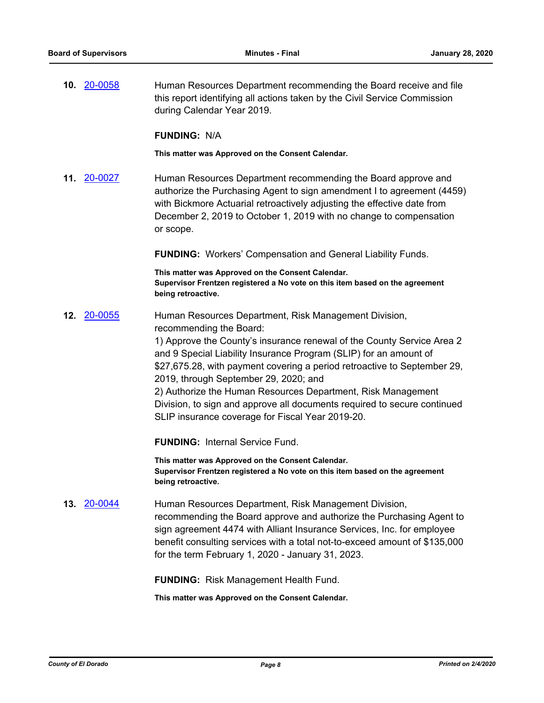**10.** [20-0058](http://eldorado.legistar.com/gateway.aspx?m=l&id=/matter.aspx?key=27263) Human Resources Department recommending the Board receive and file this report identifying all actions taken by the Civil Service Commission during Calendar Year 2019.

#### **FUNDING:** N/A

**This matter was Approved on the Consent Calendar.**

**11.** [20-0027](http://eldorado.legistar.com/gateway.aspx?m=l&id=/matter.aspx?key=27231) Human Resources Department recommending the Board approve and authorize the Purchasing Agent to sign amendment I to agreement (4459) with Bickmore Actuarial retroactively adjusting the effective date from December 2, 2019 to October 1, 2019 with no change to compensation or scope.

**FUNDING:** Workers' Compensation and General Liability Funds.

**This matter was Approved on the Consent Calendar. Supervisor Frentzen registered a No vote on this item based on the agreement being retroactive.**

**12.** [20-0055](http://eldorado.legistar.com/gateway.aspx?m=l&id=/matter.aspx?key=27260) Human Resources Department, Risk Management Division, recommending the Board:

> 1) Approve the County's insurance renewal of the County Service Area 2 and 9 Special Liability Insurance Program (SLIP) for an amount of \$27,675.28, with payment covering a period retroactive to September 29, 2019, through September 29, 2020; and

> 2) Authorize the Human Resources Department, Risk Management Division, to sign and approve all documents required to secure continued SLIP insurance coverage for Fiscal Year 2019-20.

**FUNDING:** Internal Service Fund.

**This matter was Approved on the Consent Calendar. Supervisor Frentzen registered a No vote on this item based on the agreement being retroactive.**

**13.** [20-0044](http://eldorado.legistar.com/gateway.aspx?m=l&id=/matter.aspx?key=27249) Human Resources Department, Risk Management Division, recommending the Board approve and authorize the Purchasing Agent to sign agreement 4474 with Alliant Insurance Services, Inc. for employee benefit consulting services with a total not-to-exceed amount of \$135,000 for the term February 1, 2020 - January 31, 2023.

**FUNDING:** Risk Management Health Fund.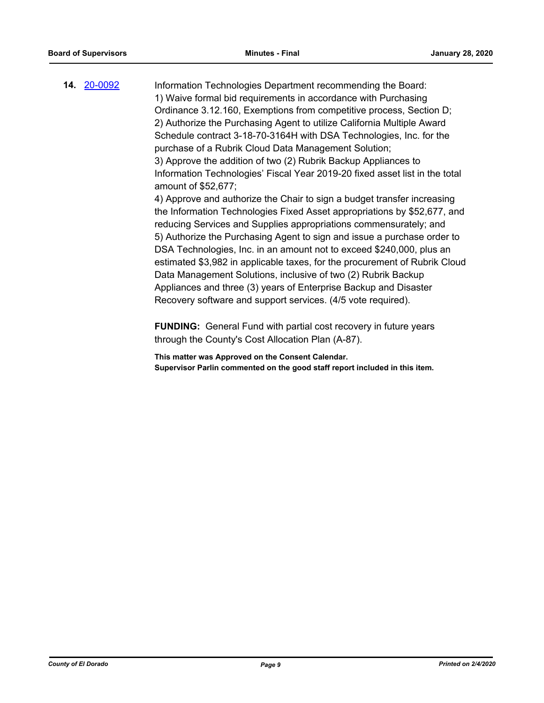| 14. 20-0092 | Information Technologies Department recommending the Board:                 |
|-------------|-----------------------------------------------------------------------------|
|             | 1) Waive formal bid requirements in accordance with Purchasing              |
|             | Ordinance 3.12.160, Exemptions from competitive process, Section D;         |
|             | 2) Authorize the Purchasing Agent to utilize California Multiple Award      |
|             | Schedule contract 3-18-70-3164H with DSA Technologies, Inc. for the         |
|             | purchase of a Rubrik Cloud Data Management Solution;                        |
|             | 3) Approve the addition of two (2) Rubrik Backup Appliances to              |
|             | Information Technologies' Fiscal Year 2019-20 fixed asset list in the total |
|             | amount of \$52,677;                                                         |
|             | 4) Approve and authorize the Chair to sign a budget transfer increasing     |
|             | the Information Technologies Fixed Asset appropriations by \$52,677, and    |
|             | reducing Services and Supplies appropriations commensurately; and           |
|             | 5) Authorize the Purchasing Agent to sign and issue a purchase order to     |
|             | DSA Technologies, Inc. in an amount not to exceed \$240,000, plus an        |
|             | estimated \$3,982 in applicable taxes, for the procurement of Rubrik Cloud  |
|             | Data Management Solutions, inclusive of two (2) Rubrik Backup               |

Data Management Solutions, inclusive of two (2) Rubrik Backup Appliances and three (3) years of Enterprise Backup and Disaster Recovery software and support services. (4/5 vote required).

**FUNDING:** General Fund with partial cost recovery in future years through the County's Cost Allocation Plan (A-87).

**This matter was Approved on the Consent Calendar. Supervisor Parlin commented on the good staff report included in this item.**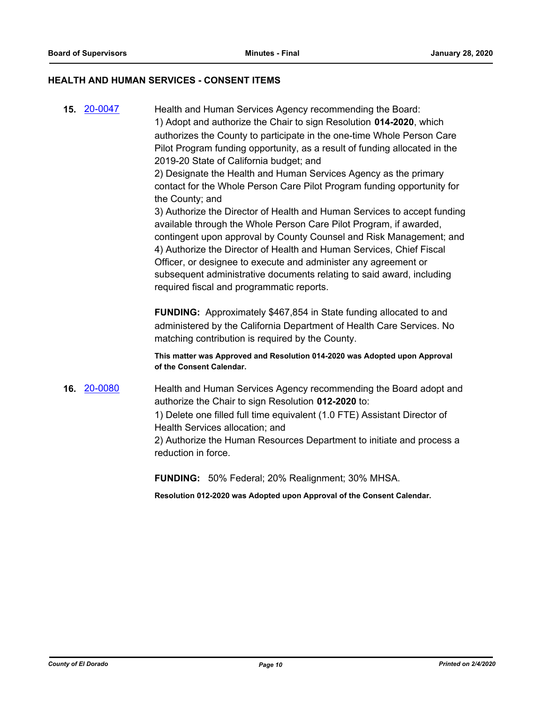#### **HEALTH AND HUMAN SERVICES - CONSENT ITEMS**

**15.** [20-0047](http://eldorado.legistar.com/gateway.aspx?m=l&id=/matter.aspx?key=27252) Health and Human Services Agency recommending the Board: 1) Adopt and authorize the Chair to sign Resolution **014-2020**, which authorizes the County to participate in the one-time Whole Person Care Pilot Program funding opportunity, as a result of funding allocated in the 2019-20 State of California budget; and 2) Designate the Health and Human Services Agency as the primary contact for the Whole Person Care Pilot Program funding opportunity for the County; and 3) Authorize the Director of Health and Human Services to accept funding

available through the Whole Person Care Pilot Program, if awarded, contingent upon approval by County Counsel and Risk Management; and 4) Authorize the Director of Health and Human Services, Chief Fiscal Officer, or designee to execute and administer any agreement or subsequent administrative documents relating to said award, including required fiscal and programmatic reports.

**FUNDING:** Approximately \$467,854 in State funding allocated to and administered by the California Department of Health Care Services. No matching contribution is required by the County.

**This matter was Approved and Resolution 014-2020 was Adopted upon Approval of the Consent Calendar.**

**16.** [20-0080](http://eldorado.legistar.com/gateway.aspx?m=l&id=/matter.aspx?key=27285) Health and Human Services Agency recommending the Board adopt and authorize the Chair to sign Resolution **012-2020** to: 1) Delete one filled full time equivalent (1.0 FTE) Assistant Director of Health Services allocation; and 2) Authorize the Human Resources Department to initiate and process a reduction in force.

**FUNDING:** 50% Federal; 20% Realignment; 30% MHSA.

**Resolution 012-2020 was Adopted upon Approval of the Consent Calendar.**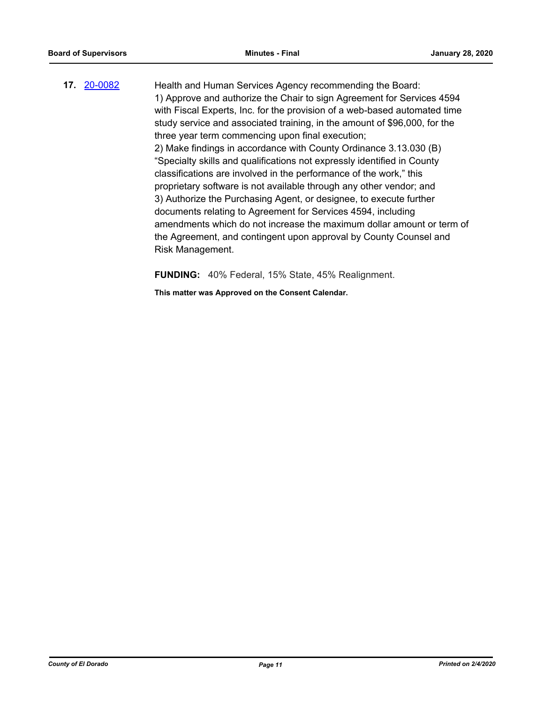**17.** [20-0082](http://eldorado.legistar.com/gateway.aspx?m=l&id=/matter.aspx?key=27287) Health and Human Services Agency recommending the Board: 1) Approve and authorize the Chair to sign Agreement for Services 4594 with Fiscal Experts, Inc. for the provision of a web-based automated time study service and associated training, in the amount of \$96,000, for the three year term commencing upon final execution; 2) Make findings in accordance with County Ordinance 3.13.030 (B) "Specialty skills and qualifications not expressly identified in County classifications are involved in the performance of the work," this proprietary software is not available through any other vendor; and 3) Authorize the Purchasing Agent, or designee, to execute further documents relating to Agreement for Services 4594, including amendments which do not increase the maximum dollar amount or term of the Agreement, and contingent upon approval by County Counsel and Risk Management.

**FUNDING:** 40% Federal, 15% State, 45% Realignment.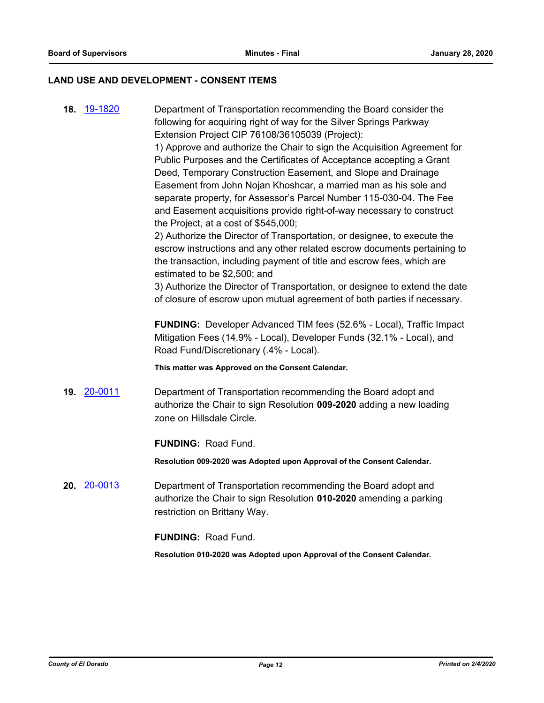## **LAND USE AND DEVELOPMENT - CONSENT ITEMS**

| 18. 19-1820        | Department of Transportation recommending the Board consider the                                                                      |
|--------------------|---------------------------------------------------------------------------------------------------------------------------------------|
|                    | following for acquiring right of way for the Silver Springs Parkway                                                                   |
|                    | Extension Project CIP 76108/36105039 (Project):                                                                                       |
|                    | 1) Approve and authorize the Chair to sign the Acquisition Agreement for                                                              |
|                    | Public Purposes and the Certificates of Acceptance accepting a Grant<br>Deed, Temporary Construction Easement, and Slope and Drainage |
|                    | Easement from John Nojan Khoshcar, a married man as his sole and                                                                      |
|                    | separate property, for Assessor's Parcel Number 115-030-04. The Fee                                                                   |
|                    | and Easement acquisitions provide right-of-way necessary to construct                                                                 |
|                    | the Project, at a cost of \$545,000;                                                                                                  |
|                    | 2) Authorize the Director of Transportation, or designee, to execute the                                                              |
|                    | escrow instructions and any other related escrow documents pertaining to                                                              |
|                    | the transaction, including payment of title and escrow fees, which are                                                                |
|                    | estimated to be \$2,500; and                                                                                                          |
|                    | 3) Authorize the Director of Transportation, or designee to extend the date                                                           |
|                    | of closure of escrow upon mutual agreement of both parties if necessary.                                                              |
|                    | FUNDING: Developer Advanced TIM fees (52.6% - Local), Traffic Impact                                                                  |
|                    | Mitigation Fees (14.9% - Local), Developer Funds (32.1% - Local), and                                                                 |
|                    | Road Fund/Discretionary (.4% - Local).                                                                                                |
|                    | This matter was Approved on the Consent Calendar.                                                                                     |
|                    |                                                                                                                                       |
| <b>19. 20-0011</b> | Department of Transportation recommending the Board adopt and                                                                         |
|                    | authorize the Chair to sign Resolution 009-2020 adding a new loading                                                                  |
|                    | zone on Hillsdale Circle.                                                                                                             |
|                    | <b>FUNDING: Road Fund.</b>                                                                                                            |
|                    |                                                                                                                                       |
|                    | Resolution 009-2020 was Adopted upon Approval of the Consent Calendar.                                                                |
| 20. 20-0013        | Department of Transportation recommending the Board adopt and                                                                         |
|                    | authorize the Chair to sign Resolution 010-2020 amending a parking                                                                    |
|                    | restriction on Brittany Way.                                                                                                          |
|                    |                                                                                                                                       |
|                    |                                                                                                                                       |
|                    | <b>FUNDING: Road Fund.</b><br>Resolution 010-2020 was Adopted upon Approval of the Consent Calendar.                                  |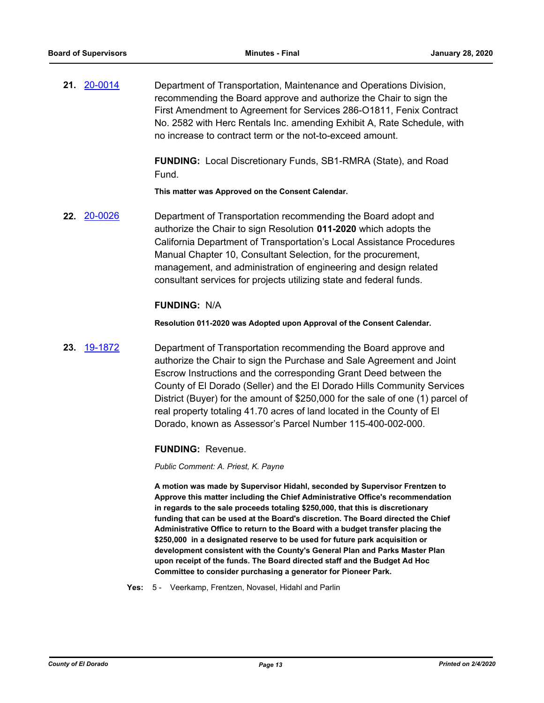**21.** [20-0014](http://eldorado.legistar.com/gateway.aspx?m=l&id=/matter.aspx?key=27218) Department of Transportation, Maintenance and Operations Division, recommending the Board approve and authorize the Chair to sign the First Amendment to Agreement for Services 286-O1811, Fenix Contract No. 2582 with Herc Rentals Inc. amending Exhibit A, Rate Schedule, with no increase to contract term or the not-to-exceed amount.

> **FUNDING:** Local Discretionary Funds, SB1-RMRA (State), and Road Fund.

**This matter was Approved on the Consent Calendar.**

**22.** [20-0026](http://eldorado.legistar.com/gateway.aspx?m=l&id=/matter.aspx?key=27230) Department of Transportation recommending the Board adopt and authorize the Chair to sign Resolution **011-2020** which adopts the California Department of Transportation's Local Assistance Procedures Manual Chapter 10, Consultant Selection, for the procurement, management, and administration of engineering and design related consultant services for projects utilizing state and federal funds.

## **FUNDING:** N/A

**Resolution 011-2020 was Adopted upon Approval of the Consent Calendar.**

**23.** [19-1872](http://eldorado.legistar.com/gateway.aspx?m=l&id=/matter.aspx?key=27196) Department of Transportation recommending the Board approve and authorize the Chair to sign the Purchase and Sale Agreement and Joint Escrow Instructions and the corresponding Grant Deed between the County of El Dorado (Seller) and the El Dorado Hills Community Services District (Buyer) for the amount of \$250,000 for the sale of one (1) parcel of real property totaling 41.70 acres of land located in the County of El Dorado, known as Assessor's Parcel Number 115-400-002-000.

## **FUNDING:** Revenue.

*Public Comment: A. Priest, K. Payne*

**A motion was made by Supervisor Hidahl, seconded by Supervisor Frentzen to Approve this matter including the Chief Administrative Office's recommendation in regards to the sale proceeds totaling \$250,000, that this is discretionary funding that can be used at the Board's discretion. The Board directed the Chief Administrative Office to return to the Board with a budget transfer placing the \$250,000 in a designated reserve to be used for future park acquisition or development consistent with the County's General Plan and Parks Master Plan upon receipt of the funds. The Board directed staff and the Budget Ad Hoc Committee to consider purchasing a generator for Pioneer Park.**

**Yes:** 5 - Veerkamp, Frentzen, Novasel, Hidahl and Parlin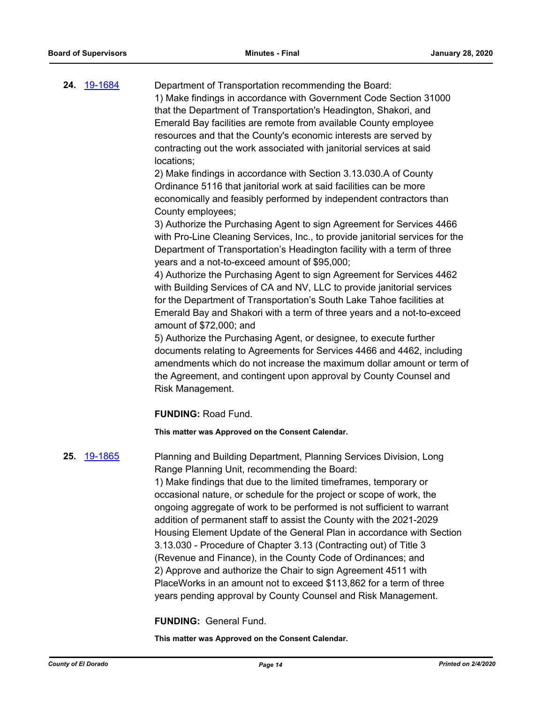**24.** [19-1684](http://eldorado.legistar.com/gateway.aspx?m=l&id=/matter.aspx?key=27008) Department of Transportation recommending the Board: 1) Make findings in accordance with Government Code Section 31000 that the Department of Transportation's Headington, Shakori, and Emerald Bay facilities are remote from available County employee resources and that the County's economic interests are served by contracting out the work associated with janitorial services at said locations;

> 2) Make findings in accordance with Section 3.13.030.A of County Ordinance 5116 that janitorial work at said facilities can be more economically and feasibly performed by independent contractors than County employees;

3) Authorize the Purchasing Agent to sign Agreement for Services 4466 with Pro-Line Cleaning Services, Inc., to provide janitorial services for the Department of Transportation's Headington facility with a term of three years and a not-to-exceed amount of \$95,000;

4) Authorize the Purchasing Agent to sign Agreement for Services 4462 with Building Services of CA and NV, LLC to provide janitorial services for the Department of Transportation's South Lake Tahoe facilities at Emerald Bay and Shakori with a term of three years and a not-to-exceed amount of \$72,000; and

5) Authorize the Purchasing Agent, or designee, to execute further documents relating to Agreements for Services 4466 and 4462, including amendments which do not increase the maximum dollar amount or term of the Agreement, and contingent upon approval by County Counsel and Risk Management.

**FUNDING:** Road Fund.

**This matter was Approved on the Consent Calendar.**

#### **25.** [19-1865](http://eldorado.legistar.com/gateway.aspx?m=l&id=/matter.aspx?key=27189) Planning and Building Department, Planning Services Division, Long

Range Planning Unit, recommending the Board: 1) Make findings that due to the limited timeframes, temporary or occasional nature, or schedule for the project or scope of work, the ongoing aggregate of work to be performed is not sufficient to warrant addition of permanent staff to assist the County with the 2021-2029 Housing Element Update of the General Plan in accordance with Section 3.13.030 - Procedure of Chapter 3.13 (Contracting out) of Title 3 (Revenue and Finance), in the County Code of Ordinances; and 2) Approve and authorize the Chair to sign Agreement 4511 with PlaceWorks in an amount not to exceed \$113,862 for a term of three years pending approval by County Counsel and Risk Management.

**FUNDING:** General Fund.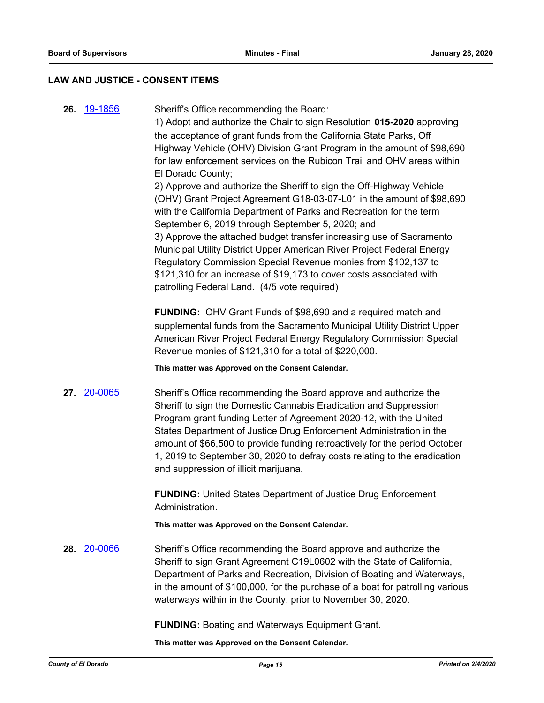#### **LAW AND JUSTICE - CONSENT ITEMS**

**26.** [19-1856](http://eldorado.legistar.com/gateway.aspx?m=l&id=/matter.aspx?key=27180) Sheriff's Office recommending the Board:

1) Adopt and authorize the Chair to sign Resolution **015-2020** approving the acceptance of grant funds from the California State Parks, Off Highway Vehicle (OHV) Division Grant Program in the amount of \$98,690 for law enforcement services on the Rubicon Trail and OHV areas within El Dorado County;

2) Approve and authorize the Sheriff to sign the Off-Highway Vehicle (OHV) Grant Project Agreement G18-03-07-L01 in the amount of \$98,690 with the California Department of Parks and Recreation for the term September 6, 2019 through September 5, 2020; and 3) Approve the attached budget transfer increasing use of Sacramento Municipal Utility District Upper American River Project Federal Energy Regulatory Commission Special Revenue monies from \$102,137 to \$121,310 for an increase of \$19,173 to cover costs associated with patrolling Federal Land. (4/5 vote required)

**FUNDING:** OHV Grant Funds of \$98,690 and a required match and supplemental funds from the Sacramento Municipal Utility District Upper American River Project Federal Energy Regulatory Commission Special Revenue monies of \$121,310 for a total of \$220,000.

**This matter was Approved on the Consent Calendar.**

**27.** [20-0065](http://eldorado.legistar.com/gateway.aspx?m=l&id=/matter.aspx?key=27270) Sheriff's Office recommending the Board approve and authorize the Sheriff to sign the Domestic Cannabis Eradication and Suppression Program grant funding Letter of Agreement 2020-12, with the United States Department of Justice Drug Enforcement Administration in the amount of \$66,500 to provide funding retroactively for the period October 1, 2019 to September 30, 2020 to defray costs relating to the eradication and suppression of illicit marijuana.

> **FUNDING:** United States Department of Justice Drug Enforcement Administration.

**This matter was Approved on the Consent Calendar.**

**28.** [20-0066](http://eldorado.legistar.com/gateway.aspx?m=l&id=/matter.aspx?key=27271) Sheriff's Office recommending the Board approve and authorize the Sheriff to sign Grant Agreement C19L0602 with the State of California, Department of Parks and Recreation, Division of Boating and Waterways, in the amount of \$100,000, for the purchase of a boat for patrolling various waterways within in the County, prior to November 30, 2020.

**FUNDING:** Boating and Waterways Equipment Grant.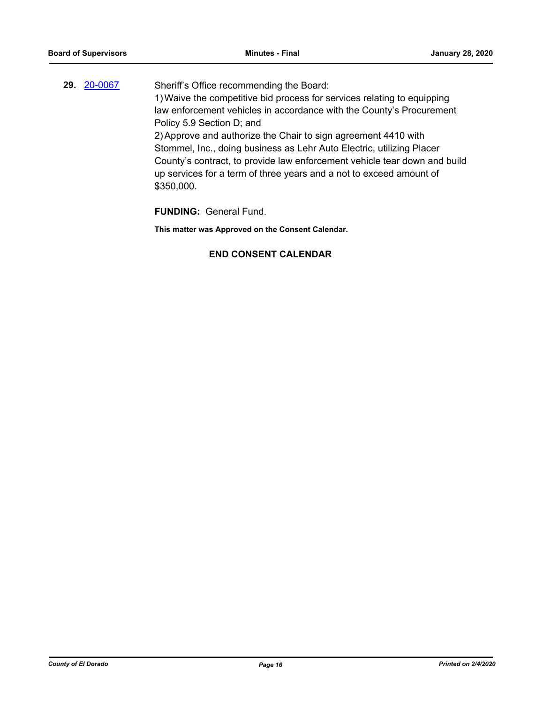**29.** [20-0067](http://eldorado.legistar.com/gateway.aspx?m=l&id=/matter.aspx?key=27272) Sheriff's Office recommending the Board: 1)Waive the competitive bid process for services relating to equipping law enforcement vehicles in accordance with the County's Procurement Policy 5.9 Section D; and 2)Approve and authorize the Chair to sign agreement 4410 with Stommel, Inc., doing business as Lehr Auto Electric, utilizing Placer County's contract, to provide law enforcement vehicle tear down and build up services for a term of three years and a not to exceed amount of \$350,000.

**FUNDING:** General Fund.

**This matter was Approved on the Consent Calendar.**

## **END CONSENT CALENDAR**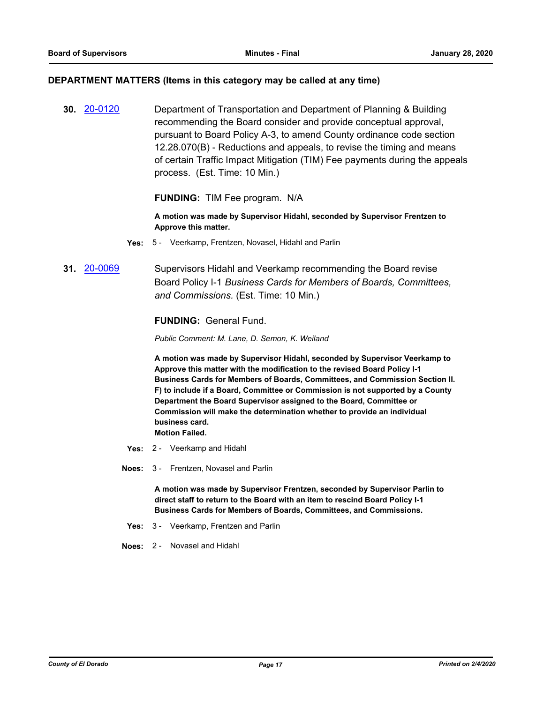#### **DEPARTMENT MATTERS (Items in this category may be called at any time)**

**30.** [20-0120](http://eldorado.legistar.com/gateway.aspx?m=l&id=/matter.aspx?key=27325) Department of Transportation and Department of Planning & Building recommending the Board consider and provide conceptual approval, pursuant to Board Policy A-3, to amend County ordinance code section 12.28.070(B) - Reductions and appeals, to revise the timing and means of certain Traffic Impact Mitigation (TIM) Fee payments during the appeals process. (Est. Time: 10 Min.)

## **FUNDING:** TIM Fee program. N/A

**A motion was made by Supervisor Hidahl, seconded by Supervisor Frentzen to Approve this matter.**

- **Yes:** 5 Veerkamp, Frentzen, Novasel, Hidahl and Parlin
- **31.** [20-0069](http://eldorado.legistar.com/gateway.aspx?m=l&id=/matter.aspx?key=27274) Supervisors Hidahl and Veerkamp recommending the Board revise Board Policy I-1 *Business Cards for Members of Boards, Committees, and Commissions.* (Est. Time: 10 Min.)

## **FUNDING:** General Fund.

*Public Comment: M. Lane, D. Semon, K. Weiland*

**A motion was made by Supervisor Hidahl, seconded by Supervisor Veerkamp to Approve this matter with the modification to the revised Board Policy I-1 Business Cards for Members of Boards, Committees, and Commission Section II. F) to include if a Board, Committee or Commission is not supported by a County Department the Board Supervisor assigned to the Board, Committee or Commission will make the determination whether to provide an individual business card. Motion Failed.**

- **Yes:** 2 Veerkamp and Hidahl
- **Noes:** 3 Frentzen, Novasel and Parlin

**A motion was made by Supervisor Frentzen, seconded by Supervisor Parlin to direct staff to return to the Board with an item to rescind Board Policy I-1 Business Cards for Members of Boards, Committees, and Commissions.**

- **Yes:** 3 Veerkamp, Frentzen and Parlin
- **Noes:** 2 Novasel and Hidahl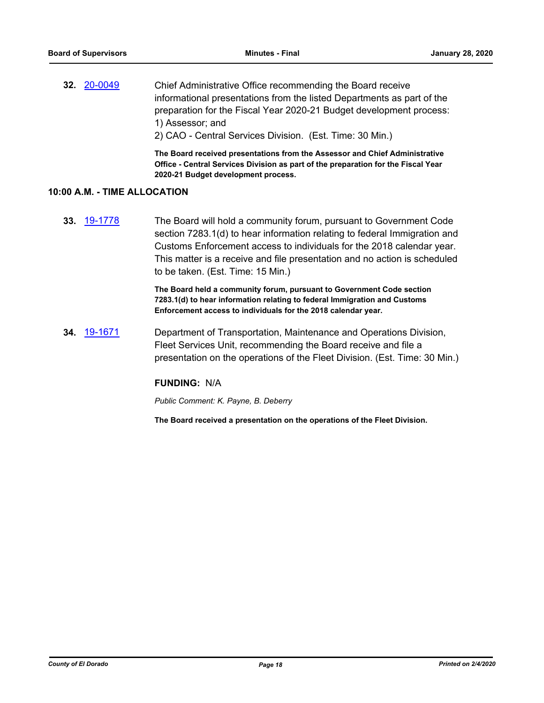**32.** [20-0049](http://eldorado.legistar.com/gateway.aspx?m=l&id=/matter.aspx?key=27254) Chief Administrative Office recommending the Board receive informational presentations from the listed Departments as part of the preparation for the Fiscal Year 2020-21 Budget development process: 1) Assessor; and 2) CAO - Central Services Division. (Est. Time: 30 Min.)

> **The Board received presentations from the Assessor and Chief Administrative Office - Central Services Division as part of the preparation for the Fiscal Year 2020-21 Budget development process.**

## **10:00 A.M. - TIME ALLOCATION**

**33.** [19-1778](http://eldorado.legistar.com/gateway.aspx?m=l&id=/matter.aspx?key=27102) The Board will hold a community forum, pursuant to Government Code section 7283.1(d) to hear information relating to federal Immigration and Customs Enforcement access to individuals for the 2018 calendar year. This matter is a receive and file presentation and no action is scheduled to be taken. (Est. Time: 15 Min.)

> **The Board held a community forum, pursuant to Government Code section 7283.1(d) to hear information relating to federal Immigration and Customs Enforcement access to individuals for the 2018 calendar year.**

**34.** [19-1671](http://eldorado.legistar.com/gateway.aspx?m=l&id=/matter.aspx?key=26995) Department of Transportation, Maintenance and Operations Division, Fleet Services Unit, recommending the Board receive and file a presentation on the operations of the Fleet Division. (Est. Time: 30 Min.)

#### **FUNDING:** N/A

*Public Comment: K. Payne, B. Deberry*

**The Board received a presentation on the operations of the Fleet Division.**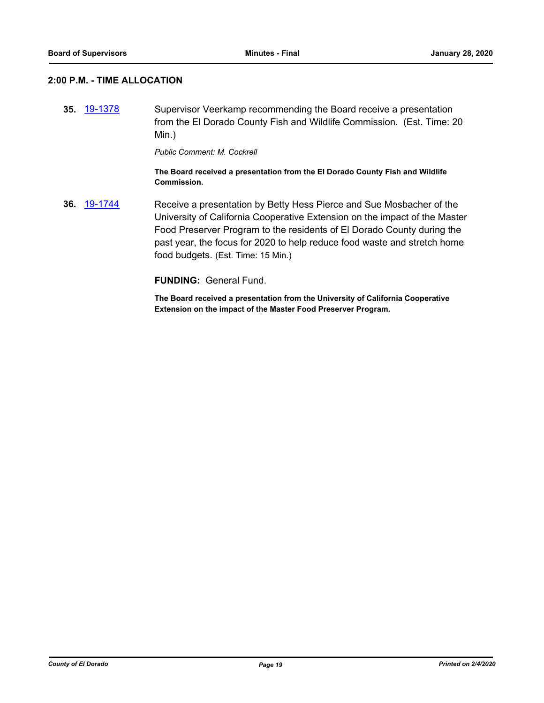## **2:00 P.M. - TIME ALLOCATION**

**35.** [19-1378](http://eldorado.legistar.com/gateway.aspx?m=l&id=/matter.aspx?key=26699) Supervisor Veerkamp recommending the Board receive a presentation from the El Dorado County Fish and Wildlife Commission. (Est. Time: 20 Min.)

*Public Comment: M. Cockrell*

**The Board received a presentation from the El Dorado County Fish and Wildlife Commission.**

**36.** [19-1744](http://eldorado.legistar.com/gateway.aspx?m=l&id=/matter.aspx?key=27068) Receive a presentation by Betty Hess Pierce and Sue Mosbacher of the University of California Cooperative Extension on the impact of the Master Food Preserver Program to the residents of El Dorado County during the past year, the focus for 2020 to help reduce food waste and stretch home food budgets. (Est. Time: 15 Min.)

**FUNDING:** General Fund.

**The Board received a presentation from the University of California Cooperative Extension on the impact of the Master Food Preserver Program.**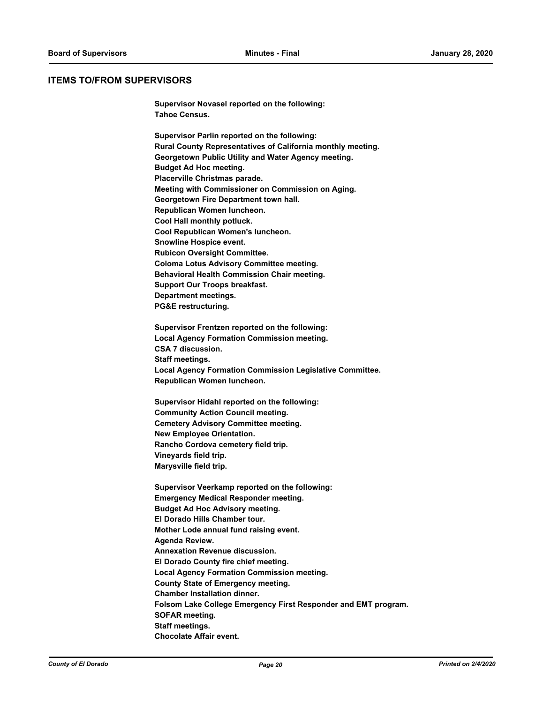#### **ITEMS TO/FROM SUPERVISORS**

**Supervisor Novasel reported on the following: Tahoe Census.**

**Supervisor Parlin reported on the following: Rural County Representatives of California monthly meeting. Georgetown Public Utility and Water Agency meeting. Budget Ad Hoc meeting. Placerville Christmas parade. Meeting with Commissioner on Commission on Aging. Georgetown Fire Department town hall. Republican Women luncheon. Cool Hall monthly potluck. Cool Republican Women's luncheon. Snowline Hospice event. Rubicon Oversight Committee. Coloma Lotus Advisory Committee meeting. Behavioral Health Commission Chair meeting. Support Our Troops breakfast. Department meetings. PG&E restructuring.**

**Supervisor Frentzen reported on the following: Local Agency Formation Commission meeting. CSA 7 discussion. Staff meetings. Local Agency Formation Commission Legislative Committee. Republican Women luncheon.**

**Supervisor Hidahl reported on the following: Community Action Council meeting. Cemetery Advisory Committee meeting. New Employee Orientation. Rancho Cordova cemetery field trip. Vineyards field trip. Marysville field trip.**

**Supervisor Veerkamp reported on the following: Emergency Medical Responder meeting. Budget Ad Hoc Advisory meeting. El Dorado Hills Chamber tour. Mother Lode annual fund raising event. Agenda Review. Annexation Revenue discussion. El Dorado County fire chief meeting. Local Agency Formation Commission meeting. County State of Emergency meeting. Chamber Installation dinner. Folsom Lake College Emergency First Responder and EMT program. SOFAR meeting. Staff meetings. Chocolate Affair event.**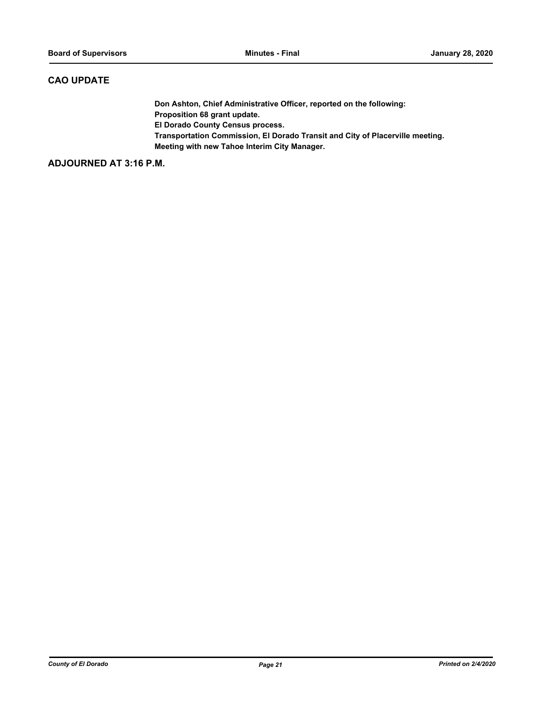## **CAO UPDATE**

**Don Ashton, Chief Administrative Officer, reported on the following: Proposition 68 grant update. El Dorado County Census process. Transportation Commission, El Dorado Transit and City of Placerville meeting. Meeting with new Tahoe Interim City Manager.**

**ADJOURNED AT 3:16 P.M.**